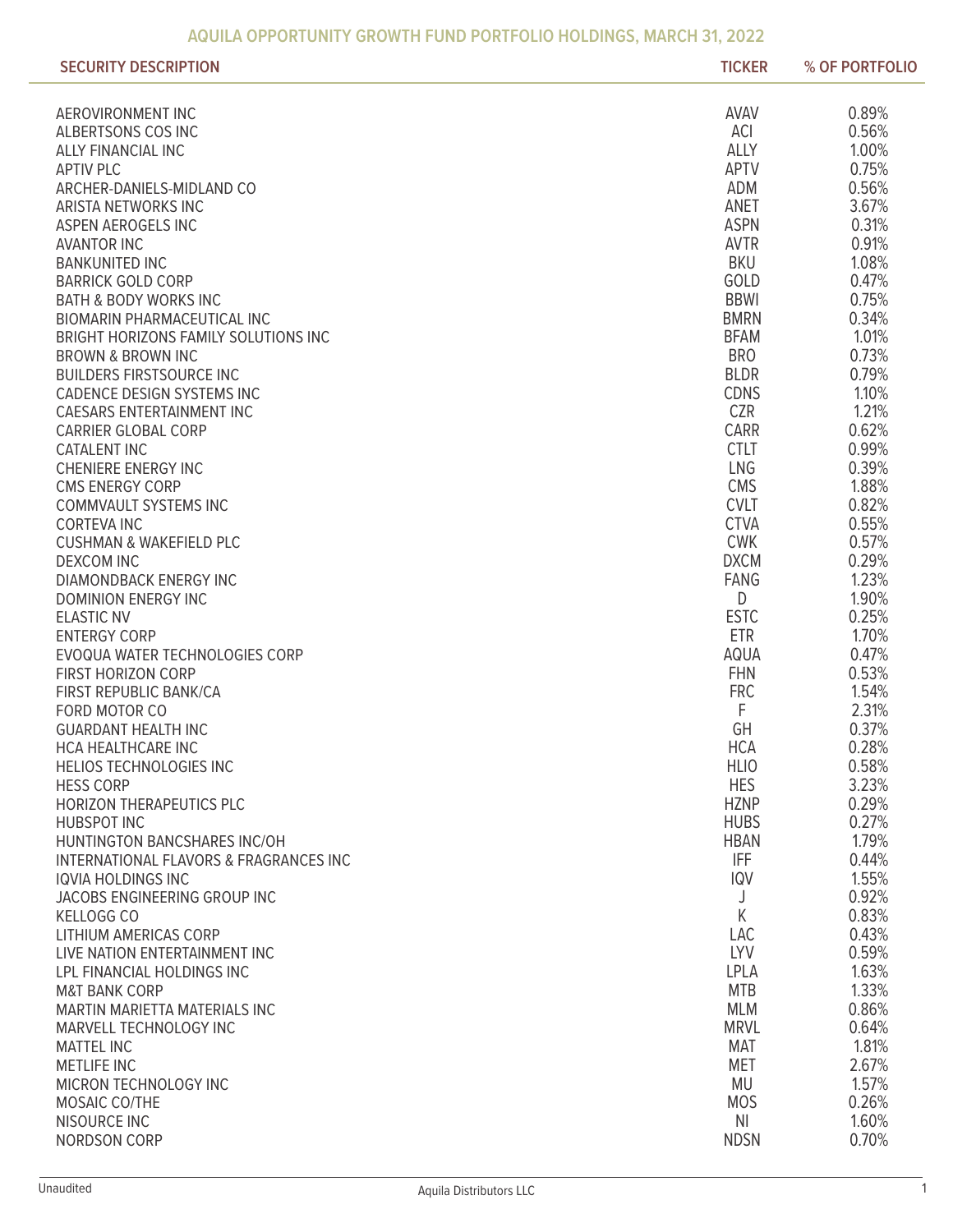| 0.89%<br><b>AVAV</b><br>AEROVIRONMENT INC<br>ACI<br>0.56%<br>ALBERTSONS COS INC<br><b>ALLY</b><br>1.00%<br><b>ALLY FINANCIAL INC</b><br>0.75%<br><b>APTV</b><br><b>APTIV PLC</b><br>ADM<br>0.56%<br>ARCHER-DANIELS-MIDLAND CO<br>3.67%<br>ANET<br>ARISTA NETWORKS INC<br><b>ASPN</b><br>0.31%<br>ASPEN AEROGELS INC<br><b>AVTR</b><br>0.91%<br><b>AVANTOR INC</b><br><b>BKU</b><br>1.08%<br><b>BANKUNITED INC</b><br>GOLD<br>0.47%<br><b>BARRICK GOLD CORP</b><br><b>BBWI</b><br>0.75%<br><b>BATH &amp; BODY WORKS INC</b><br><b>BMRN</b><br>0.34%<br><b>BIOMARIN PHARMACEUTICAL INC</b><br>1.01%<br><b>BFAM</b><br>BRIGHT HORIZONS FAMILY SOLUTIONS INC<br><b>BRO</b><br>0.73%<br><b>BROWN &amp; BROWN INC</b><br><b>BLDR</b><br>0.79%<br><b>BUILDERS FIRSTSOURCE INC</b><br><b>CDNS</b><br>1.10%<br>CADENCE DESIGN SYSTEMS INC<br>1.21%<br><b>CZR</b><br><b>CAESARS ENTERTAINMENT INC</b><br>0.62%<br>CARR<br><b>CARRIER GLOBAL CORP</b><br><b>CTLT</b><br>0.99%<br><b>CATALENT INC</b><br>LNG<br>0.39%<br><b>CHENIERE ENERGY INC</b><br>1.88%<br><b>CMS</b><br><b>CMS ENERGY CORP</b><br>0.82%<br><b>CVLT</b><br><b>COMMVAULT SYSTEMS INC</b><br><b>CTVA</b><br>0.55%<br><b>CORTEVA INC</b><br><b>CWK</b><br>0.57%<br><b>CUSHMAN &amp; WAKEFIELD PLC</b><br><b>DXCM</b><br>0.29%<br><b>DEXCOM INC</b><br>1.23%<br><b>FANG</b><br>DIAMONDBACK ENERGY INC<br>D<br>1.90%<br><b>DOMINION ENERGY INC</b><br><b>ESTC</b><br>0.25%<br><b>ELASTIC NV</b><br><b>ETR</b><br>1.70%<br><b>ENTERGY CORP</b><br><b>AQUA</b><br>0.47%<br>EVOQUA WATER TECHNOLOGIES CORP<br><b>FHN</b><br>0.53%<br><b>FIRST HORIZON CORP</b><br><b>FRC</b><br>1.54%<br>FIRST REPUBLIC BANK/CA<br>F<br>2.31%<br>FORD MOTOR CO<br>GH<br>0.37%<br><b>GUARDANT HEALTH INC</b><br><b>HCA</b><br>0.28%<br>HCA HEALTHCARE INC<br><b>HLIO</b><br>0.58%<br>HELIOS TECHNOLOGIES INC<br><b>HES</b><br>3.23%<br><b>HESS CORP</b><br><b>HZNP</b><br>0.29%<br><b>HORIZON THERAPEUTICS PLC</b><br><b>HUBS</b><br>0.27%<br><b>HUBSPOT INC</b><br>1.79%<br><b>HBAN</b><br>HUNTINGTON BANCSHARES INC/OH<br><b>IFF</b><br>0.44%<br><b>INTERNATIONAL FLAVORS &amp; FRAGRANCES INC</b><br>1.55%<br><b>IQV</b><br><b>IQVIA HOLDINGS INC</b><br>0.92%<br>JACOBS ENGINEERING GROUP INC<br>J<br>K<br>0.83%<br>KELLOGG CO<br>0.43%<br><b>LAC</b><br>LITHIUM AMERICAS CORP<br><b>LYV</b><br>0.59%<br>LIVE NATION ENTERTAINMENT INC<br>1.63%<br><b>LPLA</b><br>LPL FINANCIAL HOLDINGS INC<br>1.33%<br><b>MTB</b><br><b>M&amp;T BANK CORP</b><br>0.86%<br><b>MLM</b><br>MARTIN MARIETTA MATERIALS INC<br><b>MRVL</b><br>0.64%<br>MARVELL TECHNOLOGY INC<br>1.81%<br><b>MAT</b><br><b>MATTEL INC</b><br>2.67%<br><b>MET</b><br><b>METLIFE INC</b><br>1.57%<br>MU<br>MICRON TECHNOLOGY INC<br>0.26%<br><b>MOS</b><br>MOSAIC CO/THE<br>NI<br>1.60%<br>NISOURCE INC<br>0.70%<br>NORDSON CORP<br><b>NDSN</b> | <b>SECURITY DESCRIPTION</b> | <b>TICKER</b> | % OF PORTFOLIO |
|-----------------------------------------------------------------------------------------------------------------------------------------------------------------------------------------------------------------------------------------------------------------------------------------------------------------------------------------------------------------------------------------------------------------------------------------------------------------------------------------------------------------------------------------------------------------------------------------------------------------------------------------------------------------------------------------------------------------------------------------------------------------------------------------------------------------------------------------------------------------------------------------------------------------------------------------------------------------------------------------------------------------------------------------------------------------------------------------------------------------------------------------------------------------------------------------------------------------------------------------------------------------------------------------------------------------------------------------------------------------------------------------------------------------------------------------------------------------------------------------------------------------------------------------------------------------------------------------------------------------------------------------------------------------------------------------------------------------------------------------------------------------------------------------------------------------------------------------------------------------------------------------------------------------------------------------------------------------------------------------------------------------------------------------------------------------------------------------------------------------------------------------------------------------------------------------------------------------------------------------------------------------------------------------------------------------------------------------------------------------------------------------------------------------------------------------------------------------------------------------------------------------------------------------------------------------------------------------------------------------------------------------------------------------------------------------------------------------------------------------------------------------------------------------------------------------------------------------------|-----------------------------|---------------|----------------|
|                                                                                                                                                                                                                                                                                                                                                                                                                                                                                                                                                                                                                                                                                                                                                                                                                                                                                                                                                                                                                                                                                                                                                                                                                                                                                                                                                                                                                                                                                                                                                                                                                                                                                                                                                                                                                                                                                                                                                                                                                                                                                                                                                                                                                                                                                                                                                                                                                                                                                                                                                                                                                                                                                                                                                                                                                                               |                             |               |                |
|                                                                                                                                                                                                                                                                                                                                                                                                                                                                                                                                                                                                                                                                                                                                                                                                                                                                                                                                                                                                                                                                                                                                                                                                                                                                                                                                                                                                                                                                                                                                                                                                                                                                                                                                                                                                                                                                                                                                                                                                                                                                                                                                                                                                                                                                                                                                                                                                                                                                                                                                                                                                                                                                                                                                                                                                                                               |                             |               |                |
|                                                                                                                                                                                                                                                                                                                                                                                                                                                                                                                                                                                                                                                                                                                                                                                                                                                                                                                                                                                                                                                                                                                                                                                                                                                                                                                                                                                                                                                                                                                                                                                                                                                                                                                                                                                                                                                                                                                                                                                                                                                                                                                                                                                                                                                                                                                                                                                                                                                                                                                                                                                                                                                                                                                                                                                                                                               |                             |               |                |
|                                                                                                                                                                                                                                                                                                                                                                                                                                                                                                                                                                                                                                                                                                                                                                                                                                                                                                                                                                                                                                                                                                                                                                                                                                                                                                                                                                                                                                                                                                                                                                                                                                                                                                                                                                                                                                                                                                                                                                                                                                                                                                                                                                                                                                                                                                                                                                                                                                                                                                                                                                                                                                                                                                                                                                                                                                               |                             |               |                |
|                                                                                                                                                                                                                                                                                                                                                                                                                                                                                                                                                                                                                                                                                                                                                                                                                                                                                                                                                                                                                                                                                                                                                                                                                                                                                                                                                                                                                                                                                                                                                                                                                                                                                                                                                                                                                                                                                                                                                                                                                                                                                                                                                                                                                                                                                                                                                                                                                                                                                                                                                                                                                                                                                                                                                                                                                                               |                             |               |                |
|                                                                                                                                                                                                                                                                                                                                                                                                                                                                                                                                                                                                                                                                                                                                                                                                                                                                                                                                                                                                                                                                                                                                                                                                                                                                                                                                                                                                                                                                                                                                                                                                                                                                                                                                                                                                                                                                                                                                                                                                                                                                                                                                                                                                                                                                                                                                                                                                                                                                                                                                                                                                                                                                                                                                                                                                                                               |                             |               |                |
|                                                                                                                                                                                                                                                                                                                                                                                                                                                                                                                                                                                                                                                                                                                                                                                                                                                                                                                                                                                                                                                                                                                                                                                                                                                                                                                                                                                                                                                                                                                                                                                                                                                                                                                                                                                                                                                                                                                                                                                                                                                                                                                                                                                                                                                                                                                                                                                                                                                                                                                                                                                                                                                                                                                                                                                                                                               |                             |               |                |
|                                                                                                                                                                                                                                                                                                                                                                                                                                                                                                                                                                                                                                                                                                                                                                                                                                                                                                                                                                                                                                                                                                                                                                                                                                                                                                                                                                                                                                                                                                                                                                                                                                                                                                                                                                                                                                                                                                                                                                                                                                                                                                                                                                                                                                                                                                                                                                                                                                                                                                                                                                                                                                                                                                                                                                                                                                               |                             |               |                |
|                                                                                                                                                                                                                                                                                                                                                                                                                                                                                                                                                                                                                                                                                                                                                                                                                                                                                                                                                                                                                                                                                                                                                                                                                                                                                                                                                                                                                                                                                                                                                                                                                                                                                                                                                                                                                                                                                                                                                                                                                                                                                                                                                                                                                                                                                                                                                                                                                                                                                                                                                                                                                                                                                                                                                                                                                                               |                             |               |                |
|                                                                                                                                                                                                                                                                                                                                                                                                                                                                                                                                                                                                                                                                                                                                                                                                                                                                                                                                                                                                                                                                                                                                                                                                                                                                                                                                                                                                                                                                                                                                                                                                                                                                                                                                                                                                                                                                                                                                                                                                                                                                                                                                                                                                                                                                                                                                                                                                                                                                                                                                                                                                                                                                                                                                                                                                                                               |                             |               |                |
|                                                                                                                                                                                                                                                                                                                                                                                                                                                                                                                                                                                                                                                                                                                                                                                                                                                                                                                                                                                                                                                                                                                                                                                                                                                                                                                                                                                                                                                                                                                                                                                                                                                                                                                                                                                                                                                                                                                                                                                                                                                                                                                                                                                                                                                                                                                                                                                                                                                                                                                                                                                                                                                                                                                                                                                                                                               |                             |               |                |
|                                                                                                                                                                                                                                                                                                                                                                                                                                                                                                                                                                                                                                                                                                                                                                                                                                                                                                                                                                                                                                                                                                                                                                                                                                                                                                                                                                                                                                                                                                                                                                                                                                                                                                                                                                                                                                                                                                                                                                                                                                                                                                                                                                                                                                                                                                                                                                                                                                                                                                                                                                                                                                                                                                                                                                                                                                               |                             |               |                |
|                                                                                                                                                                                                                                                                                                                                                                                                                                                                                                                                                                                                                                                                                                                                                                                                                                                                                                                                                                                                                                                                                                                                                                                                                                                                                                                                                                                                                                                                                                                                                                                                                                                                                                                                                                                                                                                                                                                                                                                                                                                                                                                                                                                                                                                                                                                                                                                                                                                                                                                                                                                                                                                                                                                                                                                                                                               |                             |               |                |
|                                                                                                                                                                                                                                                                                                                                                                                                                                                                                                                                                                                                                                                                                                                                                                                                                                                                                                                                                                                                                                                                                                                                                                                                                                                                                                                                                                                                                                                                                                                                                                                                                                                                                                                                                                                                                                                                                                                                                                                                                                                                                                                                                                                                                                                                                                                                                                                                                                                                                                                                                                                                                                                                                                                                                                                                                                               |                             |               |                |
|                                                                                                                                                                                                                                                                                                                                                                                                                                                                                                                                                                                                                                                                                                                                                                                                                                                                                                                                                                                                                                                                                                                                                                                                                                                                                                                                                                                                                                                                                                                                                                                                                                                                                                                                                                                                                                                                                                                                                                                                                                                                                                                                                                                                                                                                                                                                                                                                                                                                                                                                                                                                                                                                                                                                                                                                                                               |                             |               |                |
|                                                                                                                                                                                                                                                                                                                                                                                                                                                                                                                                                                                                                                                                                                                                                                                                                                                                                                                                                                                                                                                                                                                                                                                                                                                                                                                                                                                                                                                                                                                                                                                                                                                                                                                                                                                                                                                                                                                                                                                                                                                                                                                                                                                                                                                                                                                                                                                                                                                                                                                                                                                                                                                                                                                                                                                                                                               |                             |               |                |
|                                                                                                                                                                                                                                                                                                                                                                                                                                                                                                                                                                                                                                                                                                                                                                                                                                                                                                                                                                                                                                                                                                                                                                                                                                                                                                                                                                                                                                                                                                                                                                                                                                                                                                                                                                                                                                                                                                                                                                                                                                                                                                                                                                                                                                                                                                                                                                                                                                                                                                                                                                                                                                                                                                                                                                                                                                               |                             |               |                |
|                                                                                                                                                                                                                                                                                                                                                                                                                                                                                                                                                                                                                                                                                                                                                                                                                                                                                                                                                                                                                                                                                                                                                                                                                                                                                                                                                                                                                                                                                                                                                                                                                                                                                                                                                                                                                                                                                                                                                                                                                                                                                                                                                                                                                                                                                                                                                                                                                                                                                                                                                                                                                                                                                                                                                                                                                                               |                             |               |                |
|                                                                                                                                                                                                                                                                                                                                                                                                                                                                                                                                                                                                                                                                                                                                                                                                                                                                                                                                                                                                                                                                                                                                                                                                                                                                                                                                                                                                                                                                                                                                                                                                                                                                                                                                                                                                                                                                                                                                                                                                                                                                                                                                                                                                                                                                                                                                                                                                                                                                                                                                                                                                                                                                                                                                                                                                                                               |                             |               |                |
|                                                                                                                                                                                                                                                                                                                                                                                                                                                                                                                                                                                                                                                                                                                                                                                                                                                                                                                                                                                                                                                                                                                                                                                                                                                                                                                                                                                                                                                                                                                                                                                                                                                                                                                                                                                                                                                                                                                                                                                                                                                                                                                                                                                                                                                                                                                                                                                                                                                                                                                                                                                                                                                                                                                                                                                                                                               |                             |               |                |
|                                                                                                                                                                                                                                                                                                                                                                                                                                                                                                                                                                                                                                                                                                                                                                                                                                                                                                                                                                                                                                                                                                                                                                                                                                                                                                                                                                                                                                                                                                                                                                                                                                                                                                                                                                                                                                                                                                                                                                                                                                                                                                                                                                                                                                                                                                                                                                                                                                                                                                                                                                                                                                                                                                                                                                                                                                               |                             |               |                |
|                                                                                                                                                                                                                                                                                                                                                                                                                                                                                                                                                                                                                                                                                                                                                                                                                                                                                                                                                                                                                                                                                                                                                                                                                                                                                                                                                                                                                                                                                                                                                                                                                                                                                                                                                                                                                                                                                                                                                                                                                                                                                                                                                                                                                                                                                                                                                                                                                                                                                                                                                                                                                                                                                                                                                                                                                                               |                             |               |                |
|                                                                                                                                                                                                                                                                                                                                                                                                                                                                                                                                                                                                                                                                                                                                                                                                                                                                                                                                                                                                                                                                                                                                                                                                                                                                                                                                                                                                                                                                                                                                                                                                                                                                                                                                                                                                                                                                                                                                                                                                                                                                                                                                                                                                                                                                                                                                                                                                                                                                                                                                                                                                                                                                                                                                                                                                                                               |                             |               |                |
|                                                                                                                                                                                                                                                                                                                                                                                                                                                                                                                                                                                                                                                                                                                                                                                                                                                                                                                                                                                                                                                                                                                                                                                                                                                                                                                                                                                                                                                                                                                                                                                                                                                                                                                                                                                                                                                                                                                                                                                                                                                                                                                                                                                                                                                                                                                                                                                                                                                                                                                                                                                                                                                                                                                                                                                                                                               |                             |               |                |
|                                                                                                                                                                                                                                                                                                                                                                                                                                                                                                                                                                                                                                                                                                                                                                                                                                                                                                                                                                                                                                                                                                                                                                                                                                                                                                                                                                                                                                                                                                                                                                                                                                                                                                                                                                                                                                                                                                                                                                                                                                                                                                                                                                                                                                                                                                                                                                                                                                                                                                                                                                                                                                                                                                                                                                                                                                               |                             |               |                |
|                                                                                                                                                                                                                                                                                                                                                                                                                                                                                                                                                                                                                                                                                                                                                                                                                                                                                                                                                                                                                                                                                                                                                                                                                                                                                                                                                                                                                                                                                                                                                                                                                                                                                                                                                                                                                                                                                                                                                                                                                                                                                                                                                                                                                                                                                                                                                                                                                                                                                                                                                                                                                                                                                                                                                                                                                                               |                             |               |                |
|                                                                                                                                                                                                                                                                                                                                                                                                                                                                                                                                                                                                                                                                                                                                                                                                                                                                                                                                                                                                                                                                                                                                                                                                                                                                                                                                                                                                                                                                                                                                                                                                                                                                                                                                                                                                                                                                                                                                                                                                                                                                                                                                                                                                                                                                                                                                                                                                                                                                                                                                                                                                                                                                                                                                                                                                                                               |                             |               |                |
|                                                                                                                                                                                                                                                                                                                                                                                                                                                                                                                                                                                                                                                                                                                                                                                                                                                                                                                                                                                                                                                                                                                                                                                                                                                                                                                                                                                                                                                                                                                                                                                                                                                                                                                                                                                                                                                                                                                                                                                                                                                                                                                                                                                                                                                                                                                                                                                                                                                                                                                                                                                                                                                                                                                                                                                                                                               |                             |               |                |
|                                                                                                                                                                                                                                                                                                                                                                                                                                                                                                                                                                                                                                                                                                                                                                                                                                                                                                                                                                                                                                                                                                                                                                                                                                                                                                                                                                                                                                                                                                                                                                                                                                                                                                                                                                                                                                                                                                                                                                                                                                                                                                                                                                                                                                                                                                                                                                                                                                                                                                                                                                                                                                                                                                                                                                                                                                               |                             |               |                |
|                                                                                                                                                                                                                                                                                                                                                                                                                                                                                                                                                                                                                                                                                                                                                                                                                                                                                                                                                                                                                                                                                                                                                                                                                                                                                                                                                                                                                                                                                                                                                                                                                                                                                                                                                                                                                                                                                                                                                                                                                                                                                                                                                                                                                                                                                                                                                                                                                                                                                                                                                                                                                                                                                                                                                                                                                                               |                             |               |                |
|                                                                                                                                                                                                                                                                                                                                                                                                                                                                                                                                                                                                                                                                                                                                                                                                                                                                                                                                                                                                                                                                                                                                                                                                                                                                                                                                                                                                                                                                                                                                                                                                                                                                                                                                                                                                                                                                                                                                                                                                                                                                                                                                                                                                                                                                                                                                                                                                                                                                                                                                                                                                                                                                                                                                                                                                                                               |                             |               |                |
|                                                                                                                                                                                                                                                                                                                                                                                                                                                                                                                                                                                                                                                                                                                                                                                                                                                                                                                                                                                                                                                                                                                                                                                                                                                                                                                                                                                                                                                                                                                                                                                                                                                                                                                                                                                                                                                                                                                                                                                                                                                                                                                                                                                                                                                                                                                                                                                                                                                                                                                                                                                                                                                                                                                                                                                                                                               |                             |               |                |
|                                                                                                                                                                                                                                                                                                                                                                                                                                                                                                                                                                                                                                                                                                                                                                                                                                                                                                                                                                                                                                                                                                                                                                                                                                                                                                                                                                                                                                                                                                                                                                                                                                                                                                                                                                                                                                                                                                                                                                                                                                                                                                                                                                                                                                                                                                                                                                                                                                                                                                                                                                                                                                                                                                                                                                                                                                               |                             |               |                |
|                                                                                                                                                                                                                                                                                                                                                                                                                                                                                                                                                                                                                                                                                                                                                                                                                                                                                                                                                                                                                                                                                                                                                                                                                                                                                                                                                                                                                                                                                                                                                                                                                                                                                                                                                                                                                                                                                                                                                                                                                                                                                                                                                                                                                                                                                                                                                                                                                                                                                                                                                                                                                                                                                                                                                                                                                                               |                             |               |                |
|                                                                                                                                                                                                                                                                                                                                                                                                                                                                                                                                                                                                                                                                                                                                                                                                                                                                                                                                                                                                                                                                                                                                                                                                                                                                                                                                                                                                                                                                                                                                                                                                                                                                                                                                                                                                                                                                                                                                                                                                                                                                                                                                                                                                                                                                                                                                                                                                                                                                                                                                                                                                                                                                                                                                                                                                                                               |                             |               |                |
|                                                                                                                                                                                                                                                                                                                                                                                                                                                                                                                                                                                                                                                                                                                                                                                                                                                                                                                                                                                                                                                                                                                                                                                                                                                                                                                                                                                                                                                                                                                                                                                                                                                                                                                                                                                                                                                                                                                                                                                                                                                                                                                                                                                                                                                                                                                                                                                                                                                                                                                                                                                                                                                                                                                                                                                                                                               |                             |               |                |
|                                                                                                                                                                                                                                                                                                                                                                                                                                                                                                                                                                                                                                                                                                                                                                                                                                                                                                                                                                                                                                                                                                                                                                                                                                                                                                                                                                                                                                                                                                                                                                                                                                                                                                                                                                                                                                                                                                                                                                                                                                                                                                                                                                                                                                                                                                                                                                                                                                                                                                                                                                                                                                                                                                                                                                                                                                               |                             |               |                |
|                                                                                                                                                                                                                                                                                                                                                                                                                                                                                                                                                                                                                                                                                                                                                                                                                                                                                                                                                                                                                                                                                                                                                                                                                                                                                                                                                                                                                                                                                                                                                                                                                                                                                                                                                                                                                                                                                                                                                                                                                                                                                                                                                                                                                                                                                                                                                                                                                                                                                                                                                                                                                                                                                                                                                                                                                                               |                             |               |                |
|                                                                                                                                                                                                                                                                                                                                                                                                                                                                                                                                                                                                                                                                                                                                                                                                                                                                                                                                                                                                                                                                                                                                                                                                                                                                                                                                                                                                                                                                                                                                                                                                                                                                                                                                                                                                                                                                                                                                                                                                                                                                                                                                                                                                                                                                                                                                                                                                                                                                                                                                                                                                                                                                                                                                                                                                                                               |                             |               |                |
|                                                                                                                                                                                                                                                                                                                                                                                                                                                                                                                                                                                                                                                                                                                                                                                                                                                                                                                                                                                                                                                                                                                                                                                                                                                                                                                                                                                                                                                                                                                                                                                                                                                                                                                                                                                                                                                                                                                                                                                                                                                                                                                                                                                                                                                                                                                                                                                                                                                                                                                                                                                                                                                                                                                                                                                                                                               |                             |               |                |
|                                                                                                                                                                                                                                                                                                                                                                                                                                                                                                                                                                                                                                                                                                                                                                                                                                                                                                                                                                                                                                                                                                                                                                                                                                                                                                                                                                                                                                                                                                                                                                                                                                                                                                                                                                                                                                                                                                                                                                                                                                                                                                                                                                                                                                                                                                                                                                                                                                                                                                                                                                                                                                                                                                                                                                                                                                               |                             |               |                |
|                                                                                                                                                                                                                                                                                                                                                                                                                                                                                                                                                                                                                                                                                                                                                                                                                                                                                                                                                                                                                                                                                                                                                                                                                                                                                                                                                                                                                                                                                                                                                                                                                                                                                                                                                                                                                                                                                                                                                                                                                                                                                                                                                                                                                                                                                                                                                                                                                                                                                                                                                                                                                                                                                                                                                                                                                                               |                             |               |                |
|                                                                                                                                                                                                                                                                                                                                                                                                                                                                                                                                                                                                                                                                                                                                                                                                                                                                                                                                                                                                                                                                                                                                                                                                                                                                                                                                                                                                                                                                                                                                                                                                                                                                                                                                                                                                                                                                                                                                                                                                                                                                                                                                                                                                                                                                                                                                                                                                                                                                                                                                                                                                                                                                                                                                                                                                                                               |                             |               |                |
|                                                                                                                                                                                                                                                                                                                                                                                                                                                                                                                                                                                                                                                                                                                                                                                                                                                                                                                                                                                                                                                                                                                                                                                                                                                                                                                                                                                                                                                                                                                                                                                                                                                                                                                                                                                                                                                                                                                                                                                                                                                                                                                                                                                                                                                                                                                                                                                                                                                                                                                                                                                                                                                                                                                                                                                                                                               |                             |               |                |
|                                                                                                                                                                                                                                                                                                                                                                                                                                                                                                                                                                                                                                                                                                                                                                                                                                                                                                                                                                                                                                                                                                                                                                                                                                                                                                                                                                                                                                                                                                                                                                                                                                                                                                                                                                                                                                                                                                                                                                                                                                                                                                                                                                                                                                                                                                                                                                                                                                                                                                                                                                                                                                                                                                                                                                                                                                               |                             |               |                |
|                                                                                                                                                                                                                                                                                                                                                                                                                                                                                                                                                                                                                                                                                                                                                                                                                                                                                                                                                                                                                                                                                                                                                                                                                                                                                                                                                                                                                                                                                                                                                                                                                                                                                                                                                                                                                                                                                                                                                                                                                                                                                                                                                                                                                                                                                                                                                                                                                                                                                                                                                                                                                                                                                                                                                                                                                                               |                             |               |                |
|                                                                                                                                                                                                                                                                                                                                                                                                                                                                                                                                                                                                                                                                                                                                                                                                                                                                                                                                                                                                                                                                                                                                                                                                                                                                                                                                                                                                                                                                                                                                                                                                                                                                                                                                                                                                                                                                                                                                                                                                                                                                                                                                                                                                                                                                                                                                                                                                                                                                                                                                                                                                                                                                                                                                                                                                                                               |                             |               |                |
|                                                                                                                                                                                                                                                                                                                                                                                                                                                                                                                                                                                                                                                                                                                                                                                                                                                                                                                                                                                                                                                                                                                                                                                                                                                                                                                                                                                                                                                                                                                                                                                                                                                                                                                                                                                                                                                                                                                                                                                                                                                                                                                                                                                                                                                                                                                                                                                                                                                                                                                                                                                                                                                                                                                                                                                                                                               |                             |               |                |
|                                                                                                                                                                                                                                                                                                                                                                                                                                                                                                                                                                                                                                                                                                                                                                                                                                                                                                                                                                                                                                                                                                                                                                                                                                                                                                                                                                                                                                                                                                                                                                                                                                                                                                                                                                                                                                                                                                                                                                                                                                                                                                                                                                                                                                                                                                                                                                                                                                                                                                                                                                                                                                                                                                                                                                                                                                               |                             |               |                |
|                                                                                                                                                                                                                                                                                                                                                                                                                                                                                                                                                                                                                                                                                                                                                                                                                                                                                                                                                                                                                                                                                                                                                                                                                                                                                                                                                                                                                                                                                                                                                                                                                                                                                                                                                                                                                                                                                                                                                                                                                                                                                                                                                                                                                                                                                                                                                                                                                                                                                                                                                                                                                                                                                                                                                                                                                                               |                             |               |                |
|                                                                                                                                                                                                                                                                                                                                                                                                                                                                                                                                                                                                                                                                                                                                                                                                                                                                                                                                                                                                                                                                                                                                                                                                                                                                                                                                                                                                                                                                                                                                                                                                                                                                                                                                                                                                                                                                                                                                                                                                                                                                                                                                                                                                                                                                                                                                                                                                                                                                                                                                                                                                                                                                                                                                                                                                                                               |                             |               |                |
|                                                                                                                                                                                                                                                                                                                                                                                                                                                                                                                                                                                                                                                                                                                                                                                                                                                                                                                                                                                                                                                                                                                                                                                                                                                                                                                                                                                                                                                                                                                                                                                                                                                                                                                                                                                                                                                                                                                                                                                                                                                                                                                                                                                                                                                                                                                                                                                                                                                                                                                                                                                                                                                                                                                                                                                                                                               |                             |               |                |
|                                                                                                                                                                                                                                                                                                                                                                                                                                                                                                                                                                                                                                                                                                                                                                                                                                                                                                                                                                                                                                                                                                                                                                                                                                                                                                                                                                                                                                                                                                                                                                                                                                                                                                                                                                                                                                                                                                                                                                                                                                                                                                                                                                                                                                                                                                                                                                                                                                                                                                                                                                                                                                                                                                                                                                                                                                               |                             |               |                |
|                                                                                                                                                                                                                                                                                                                                                                                                                                                                                                                                                                                                                                                                                                                                                                                                                                                                                                                                                                                                                                                                                                                                                                                                                                                                                                                                                                                                                                                                                                                                                                                                                                                                                                                                                                                                                                                                                                                                                                                                                                                                                                                                                                                                                                                                                                                                                                                                                                                                                                                                                                                                                                                                                                                                                                                                                                               |                             |               |                |
|                                                                                                                                                                                                                                                                                                                                                                                                                                                                                                                                                                                                                                                                                                                                                                                                                                                                                                                                                                                                                                                                                                                                                                                                                                                                                                                                                                                                                                                                                                                                                                                                                                                                                                                                                                                                                                                                                                                                                                                                                                                                                                                                                                                                                                                                                                                                                                                                                                                                                                                                                                                                                                                                                                                                                                                                                                               |                             |               |                |
|                                                                                                                                                                                                                                                                                                                                                                                                                                                                                                                                                                                                                                                                                                                                                                                                                                                                                                                                                                                                                                                                                                                                                                                                                                                                                                                                                                                                                                                                                                                                                                                                                                                                                                                                                                                                                                                                                                                                                                                                                                                                                                                                                                                                                                                                                                                                                                                                                                                                                                                                                                                                                                                                                                                                                                                                                                               |                             |               |                |
|                                                                                                                                                                                                                                                                                                                                                                                                                                                                                                                                                                                                                                                                                                                                                                                                                                                                                                                                                                                                                                                                                                                                                                                                                                                                                                                                                                                                                                                                                                                                                                                                                                                                                                                                                                                                                                                                                                                                                                                                                                                                                                                                                                                                                                                                                                                                                                                                                                                                                                                                                                                                                                                                                                                                                                                                                                               |                             |               |                |